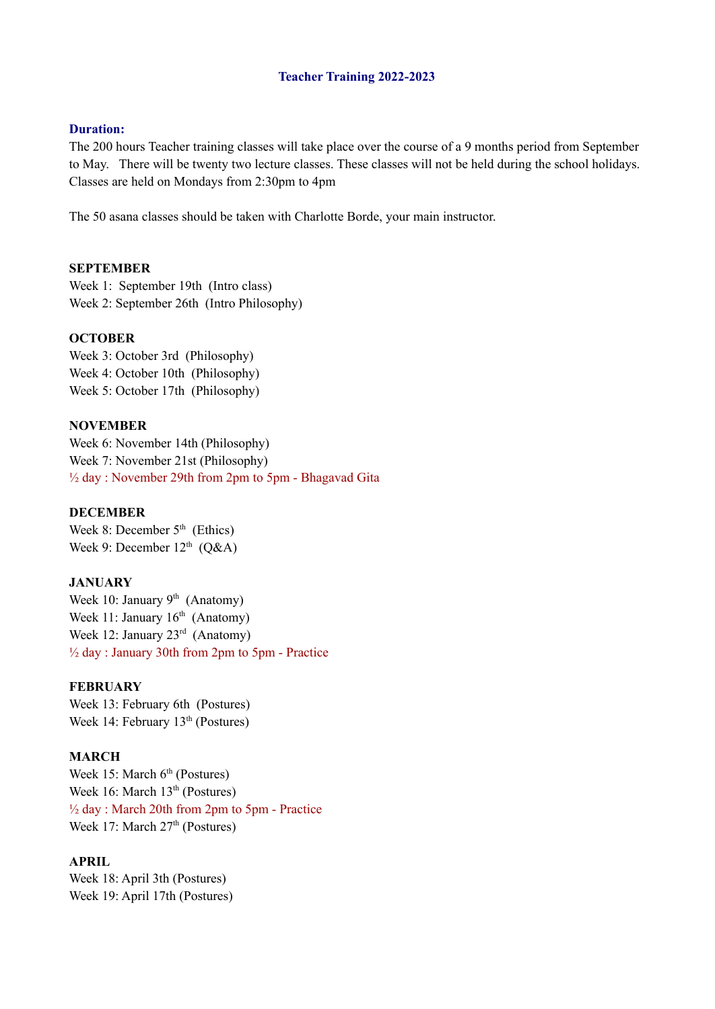#### **Teacher Training 2022-2023**

#### **Duration:**

The 200 hours Teacher training classes will take place over the course of a 9 months period from September to May. There will be twenty two lecture classes. These classes will not be held during the school holidays. Classes are held on Mondays from 2:30pm to 4pm

The 50 asana classes should be taken with Charlotte Borde, your main instructor.

#### **SEPTEMBER**

Week 1: September 19th (Intro class) Week 2: September 26th (Intro Philosophy)

## **OCTOBER**

Week 3: October 3rd (Philosophy) Week 4: October 10th (Philosophy) Week 5: October 17th (Philosophy)

# **NOVEMBER**

Week 6: November 14th (Philosophy) Week 7: November 21st (Philosophy) ½ day : November 29th from 2pm to 5pm - Bhagavad Gita

#### **DECEMBER**

Week 8: December  $5<sup>th</sup>$  (Ethics) Week 9: December  $12<sup>th</sup>$  (Q&A)

## **JANUARY**

Week 10: January  $9<sup>th</sup>$  (Anatomy) Week 11: January 16<sup>th</sup> (Anatomy) Week 12: January 23<sup>rd</sup> (Anatomy)  $\frac{1}{2}$  day : January 30th from 2pm to 5pm - Practice

# **FEBRUARY**

Week 13: February 6th (Postures) Week 14: February  $13<sup>th</sup>$  (Postures)

## **MARCH**

Week 15: March  $6<sup>th</sup>$  (Postures) Week 16: March 13<sup>th</sup> (Postures) ½ day : March 20th from 2pm to 5pm - Practice Week 17: March 27<sup>th</sup> (Postures)

### **APRIL**

Week 18: April 3th (Postures) Week 19: April 17th (Postures)